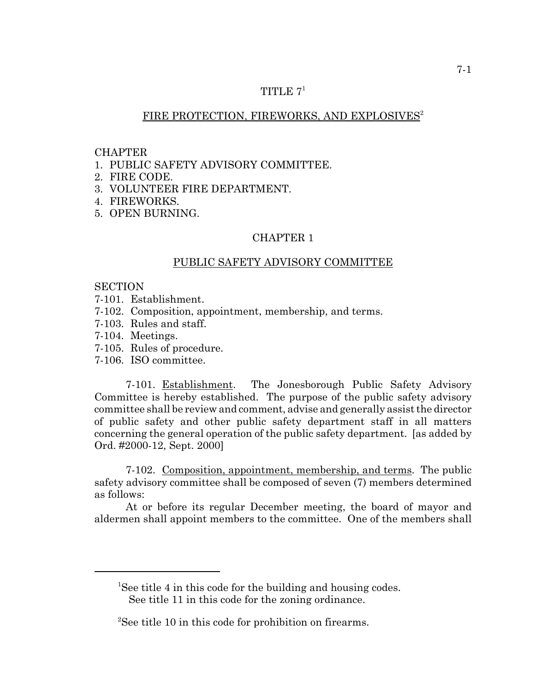## TITLE  $7<sup>1</sup>$

## FIRE PROTECTION, FIREWORKS, AND EXPLOSIVES<sup>2</sup>

#### **CHAPTER**

- 1. PUBLIC SAFETY ADVISORY COMMITTEE.
- 2. FIRE CODE.
- 3. VOLUNTEER FIRE DEPARTMENT.
- 4. FIREWORKS.
- 5. OPEN BURNING.

#### CHAPTER 1

#### PUBLIC SAFETY ADVISORY COMMITTEE

### **SECTION**

- 7-101. Establishment.
- 7-102. Composition, appointment, membership, and terms.
- 7-103. Rules and staff.
- 7-104. Meetings.
- 7-105. Rules of procedure.
- 7-106. ISO committee.

7-101. Establishment. The Jonesborough Public Safety Advisory Committee is hereby established. The purpose of the public safety advisory committee shall be review and comment, advise and generally assist the director of public safety and other public safety department staff in all matters concerning the general operation of the public safety department. [as added by Ord. #2000-12, Sept. 2000]

7-102. Composition, appointment, membership, and terms. The public safety advisory committee shall be composed of seven (7) members determined as follows:

At or before its regular December meeting, the board of mayor and aldermen shall appoint members to the committee. One of the members shall

<sup>&</sup>lt;sup>1</sup>See title 4 in this code for the building and housing codes. See title 11 in this code for the zoning ordinance.

<sup>&</sup>lt;sup>2</sup>See title 10 in this code for prohibition on firearms.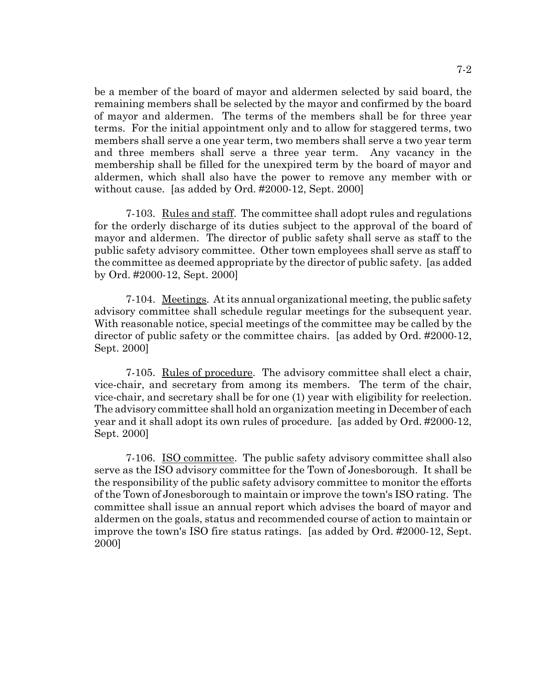be a member of the board of mayor and aldermen selected by said board, the remaining members shall be selected by the mayor and confirmed by the board of mayor and aldermen. The terms of the members shall be for three year terms. For the initial appointment only and to allow for staggered terms, two members shall serve a one year term, two members shall serve a two year term and three members shall serve a three year term. Any vacancy in the membership shall be filled for the unexpired term by the board of mayor and aldermen, which shall also have the power to remove any member with or without cause. [as added by Ord. #2000-12, Sept. 2000]

7-103. Rules and staff. The committee shall adopt rules and regulations for the orderly discharge of its duties subject to the approval of the board of mayor and aldermen. The director of public safety shall serve as staff to the public safety advisory committee. Other town employees shall serve as staff to the committee as deemed appropriate by the director of public safety. [as added by Ord. #2000-12, Sept. 2000]

7-104. Meetings. At its annual organizational meeting, the public safety advisory committee shall schedule regular meetings for the subsequent year. With reasonable notice, special meetings of the committee may be called by the director of public safety or the committee chairs. [as added by Ord. #2000-12, Sept. 2000]

7-105. Rules of procedure. The advisory committee shall elect a chair, vice-chair, and secretary from among its members. The term of the chair, vice-chair, and secretary shall be for one (1) year with eligibility for reelection. The advisory committee shall hold an organization meeting in December of each year and it shall adopt its own rules of procedure. [as added by Ord. #2000-12, Sept. 2000]

7-106. ISO committee. The public safety advisory committee shall also serve as the ISO advisory committee for the Town of Jonesborough. It shall be the responsibility of the public safety advisory committee to monitor the efforts of the Town of Jonesborough to maintain or improve the town's ISO rating. The committee shall issue an annual report which advises the board of mayor and aldermen on the goals, status and recommended course of action to maintain or improve the town's ISO fire status ratings. [as added by Ord. #2000-12, Sept. 2000]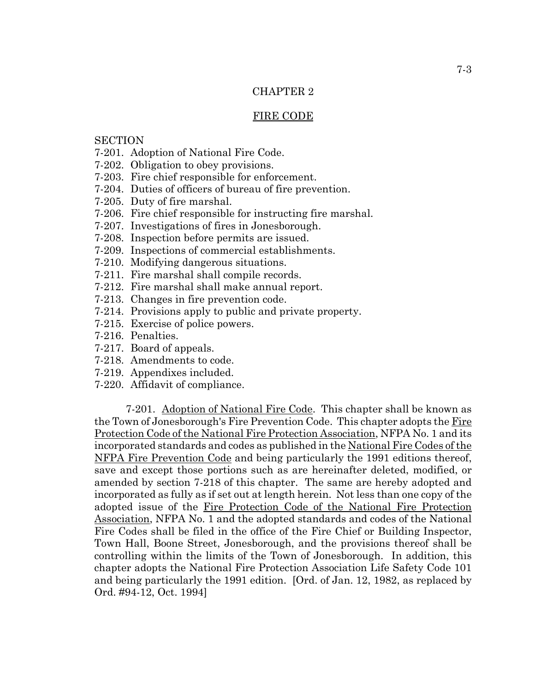# CHAPTER 2

### FIRE CODE

## **SECTION**

- 7-201. Adoption of National Fire Code.
- 7-202. Obligation to obey provisions.
- 7-203. Fire chief responsible for enforcement.
- 7-204. Duties of officers of bureau of fire prevention.
- 7-205. Duty of fire marshal.
- 7-206. Fire chief responsible for instructing fire marshal.
- 7-207. Investigations of fires in Jonesborough.
- 7-208. Inspection before permits are issued.
- 7-209. Inspections of commercial establishments.
- 7-210. Modifying dangerous situations.
- 7-211. Fire marshal shall compile records.
- 7-212. Fire marshal shall make annual report.
- 7-213. Changes in fire prevention code.
- 7-214. Provisions apply to public and private property.
- 7-215. Exercise of police powers.
- 7-216. Penalties.
- 7-217. Board of appeals.
- 7-218. Amendments to code.
- 7-219. Appendixes included.
- 7-220. Affidavit of compliance.

7-201. Adoption of National Fire Code. This chapter shall be known as the Town of Jonesborough's Fire Prevention Code. This chapter adopts the Fire Protection Code of the National Fire Protection Association, NFPA No. 1 and its incorporated standards and codes as published in the National Fire Codes of the NFPA Fire Prevention Code and being particularly the 1991 editions thereof, save and except those portions such as are hereinafter deleted, modified, or amended by section 7-218 of this chapter. The same are hereby adopted and incorporated as fully as if set out at length herein. Not less than one copy of the adopted issue of the Fire Protection Code of the National Fire Protection Association, NFPA No. 1 and the adopted standards and codes of the National Fire Codes shall be filed in the office of the Fire Chief or Building Inspector, Town Hall, Boone Street, Jonesborough, and the provisions thereof shall be controlling within the limits of the Town of Jonesborough. In addition, this chapter adopts the National Fire Protection Association Life Safety Code 101 and being particularly the 1991 edition. [Ord. of Jan. 12, 1982, as replaced by Ord. #94-12, Oct. 1994]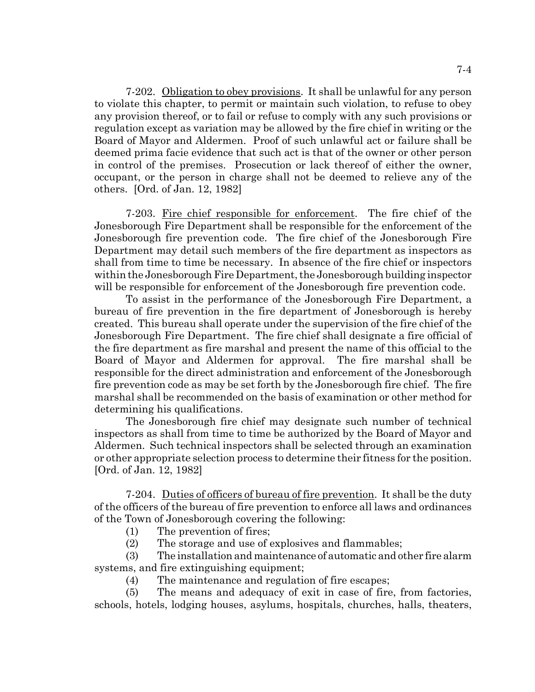7-202. Obligation to obey provisions. It shall be unlawful for any person to violate this chapter, to permit or maintain such violation, to refuse to obey any provision thereof, or to fail or refuse to comply with any such provisions or regulation except as variation may be allowed by the fire chief in writing or the Board of Mayor and Aldermen. Proof of such unlawful act or failure shall be deemed prima facie evidence that such act is that of the owner or other person in control of the premises. Prosecution or lack thereof of either the owner, occupant, or the person in charge shall not be deemed to relieve any of the others. [Ord. of Jan. 12, 1982]

7-203. Fire chief responsible for enforcement. The fire chief of the Jonesborough Fire Department shall be responsible for the enforcement of the Jonesborough fire prevention code. The fire chief of the Jonesborough Fire Department may detail such members of the fire department as inspectors as shall from time to time be necessary. In absence of the fire chief or inspectors within the Jonesborough Fire Department, the Jonesborough building inspector will be responsible for enforcement of the Jonesborough fire prevention code.

To assist in the performance of the Jonesborough Fire Department, a bureau of fire prevention in the fire department of Jonesborough is hereby created. This bureau shall operate under the supervision of the fire chief of the Jonesborough Fire Department. The fire chief shall designate a fire official of the fire department as fire marshal and present the name of this official to the Board of Mayor and Aldermen for approval. The fire marshal shall be responsible for the direct administration and enforcement of the Jonesborough fire prevention code as may be set forth by the Jonesborough fire chief. The fire marshal shall be recommended on the basis of examination or other method for determining his qualifications.

The Jonesborough fire chief may designate such number of technical inspectors as shall from time to time be authorized by the Board of Mayor and Aldermen. Such technical inspectors shall be selected through an examination or other appropriate selection process to determine their fitness for the position. [Ord. of Jan. 12, 1982]

7-204. Duties of officers of bureau of fire prevention. It shall be the duty of the officers of the bureau of fire prevention to enforce all laws and ordinances of the Town of Jonesborough covering the following:

- (1) The prevention of fires;
- (2) The storage and use of explosives and flammables;

(3) The installation and maintenance of automatic and other fire alarm systems, and fire extinguishing equipment;

(4) The maintenance and regulation of fire escapes;

(5) The means and adequacy of exit in case of fire, from factories, schools, hotels, lodging houses, asylums, hospitals, churches, halls, theaters,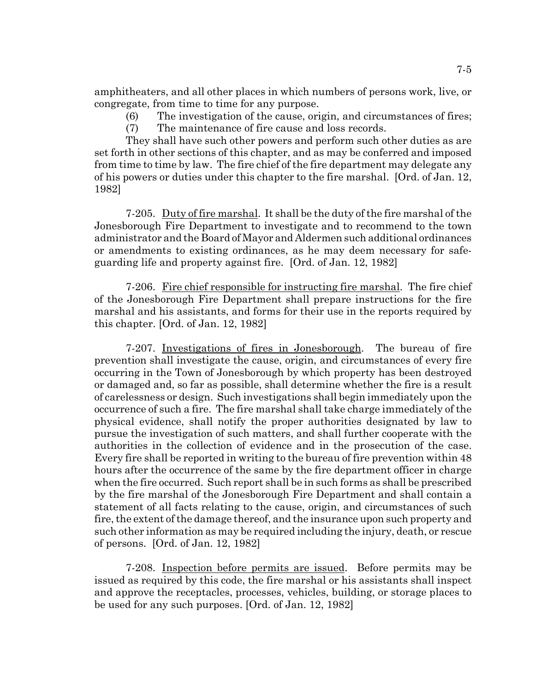amphitheaters, and all other places in which numbers of persons work, live, or congregate, from time to time for any purpose.

(6) The investigation of the cause, origin, and circumstances of fires; (7) The maintenance of fire cause and loss records.

They shall have such other powers and perform such other duties as are set forth in other sections of this chapter, and as may be conferred and imposed from time to time by law. The fire chief of the fire department may delegate any of his powers or duties under this chapter to the fire marshal. [Ord. of Jan. 12, 1982]

7-205. Duty of fire marshal. It shall be the duty of the fire marshal of the Jonesborough Fire Department to investigate and to recommend to the town administrator and the Board of Mayor and Aldermen such additional ordinances or amendments to existing ordinances, as he may deem necessary for safeguarding life and property against fire. [Ord. of Jan. 12, 1982]

7-206. Fire chief responsible for instructing fire marshal. The fire chief of the Jonesborough Fire Department shall prepare instructions for the fire marshal and his assistants, and forms for their use in the reports required by this chapter. [Ord. of Jan. 12, 1982]

7-207. Investigations of fires in Jonesborough. The bureau of fire prevention shall investigate the cause, origin, and circumstances of every fire occurring in the Town of Jonesborough by which property has been destroyed or damaged and, so far as possible, shall determine whether the fire is a result of carelessness or design. Such investigations shall begin immediately upon the occurrence of such a fire. The fire marshal shall take charge immediately of the physical evidence, shall notify the proper authorities designated by law to pursue the investigation of such matters, and shall further cooperate with the authorities in the collection of evidence and in the prosecution of the case. Every fire shall be reported in writing to the bureau of fire prevention within 48 hours after the occurrence of the same by the fire department officer in charge when the fire occurred. Such report shall be in such forms as shall be prescribed by the fire marshal of the Jonesborough Fire Department and shall contain a statement of all facts relating to the cause, origin, and circumstances of such fire, the extent of the damage thereof, and the insurance upon such property and such other information as may be required including the injury, death, or rescue of persons. [Ord. of Jan. 12, 1982]

7-208. Inspection before permits are issued. Before permits may be issued as required by this code, the fire marshal or his assistants shall inspect and approve the receptacles, processes, vehicles, building, or storage places to be used for any such purposes. [Ord. of Jan. 12, 1982]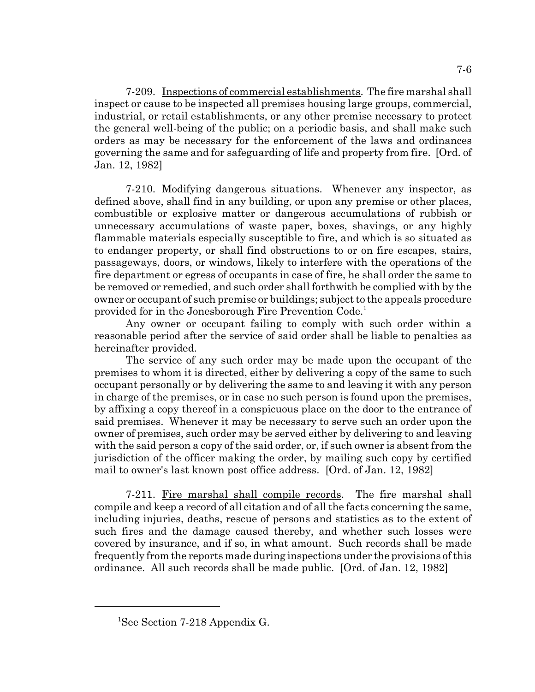7-209. Inspections of commercial establishments. The fire marshal shall inspect or cause to be inspected all premises housing large groups, commercial, industrial, or retail establishments, or any other premise necessary to protect the general well-being of the public; on a periodic basis, and shall make such orders as may be necessary for the enforcement of the laws and ordinances governing the same and for safeguarding of life and property from fire. [Ord. of Jan. 12, 1982]

7-210. Modifying dangerous situations. Whenever any inspector, as defined above, shall find in any building, or upon any premise or other places, combustible or explosive matter or dangerous accumulations of rubbish or unnecessary accumulations of waste paper, boxes, shavings, or any highly flammable materials especially susceptible to fire, and which is so situated as to endanger property, or shall find obstructions to or on fire escapes, stairs, passageways, doors, or windows, likely to interfere with the operations of the fire department or egress of occupants in case of fire, he shall order the same to be removed or remedied, and such order shall forthwith be complied with by the owner or occupant of such premise or buildings; subject to the appeals procedure provided for in the Jonesborough Fire Prevention Code.<sup>1</sup>

Any owner or occupant failing to comply with such order within a reasonable period after the service of said order shall be liable to penalties as hereinafter provided.

The service of any such order may be made upon the occupant of the premises to whom it is directed, either by delivering a copy of the same to such occupant personally or by delivering the same to and leaving it with any person in charge of the premises, or in case no such person is found upon the premises, by affixing a copy thereof in a conspicuous place on the door to the entrance of said premises. Whenever it may be necessary to serve such an order upon the owner of premises, such order may be served either by delivering to and leaving with the said person a copy of the said order, or, if such owner is absent from the jurisdiction of the officer making the order, by mailing such copy by certified mail to owner's last known post office address. [Ord. of Jan. 12, 1982]

7-211. Fire marshal shall compile records. The fire marshal shall compile and keep a record of all citation and of all the facts concerning the same, including injuries, deaths, rescue of persons and statistics as to the extent of such fires and the damage caused thereby, and whether such losses were covered by insurance, and if so, in what amount. Such records shall be made frequently from the reports made during inspections under the provisions of this ordinance. All such records shall be made public. [Ord. of Jan. 12, 1982]

<sup>&</sup>lt;sup>1</sup>See Section 7-218 Appendix G.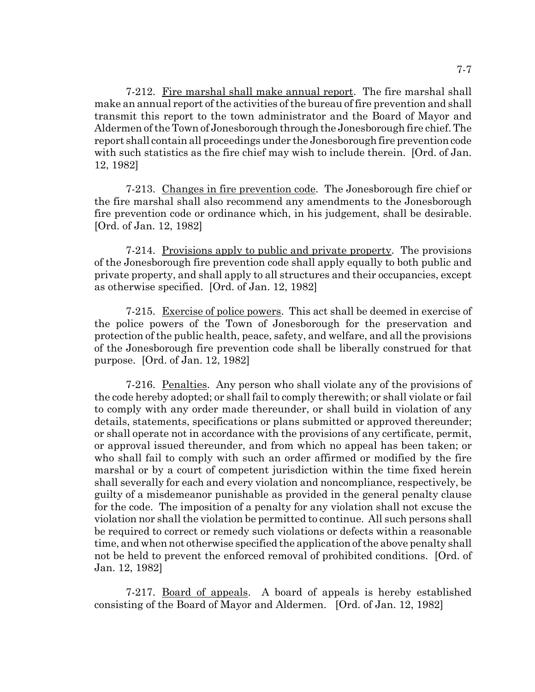7-212. Fire marshal shall make annual report. The fire marshal shall make an annual report of the activities of the bureau of fire prevention and shall transmit this report to the town administrator and the Board of Mayor and Aldermen of the Town of Jonesborough through the Jonesborough fire chief. The report shall contain all proceedings under the Jonesborough fire prevention code with such statistics as the fire chief may wish to include therein. [Ord. of Jan. 12, 1982]

7-213. Changes in fire prevention code. The Jonesborough fire chief or the fire marshal shall also recommend any amendments to the Jonesborough fire prevention code or ordinance which, in his judgement, shall be desirable. [Ord. of Jan. 12, 1982]

7-214. Provisions apply to public and private property. The provisions of the Jonesborough fire prevention code shall apply equally to both public and private property, and shall apply to all structures and their occupancies, except as otherwise specified. [Ord. of Jan. 12, 1982]

7-215. Exercise of police powers. This act shall be deemed in exercise of the police powers of the Town of Jonesborough for the preservation and protection of the public health, peace, safety, and welfare, and all the provisions of the Jonesborough fire prevention code shall be liberally construed for that purpose. [Ord. of Jan. 12, 1982]

7-216. Penalties. Any person who shall violate any of the provisions of the code hereby adopted; or shall fail to comply therewith; or shall violate or fail to comply with any order made thereunder, or shall build in violation of any details, statements, specifications or plans submitted or approved thereunder; or shall operate not in accordance with the provisions of any certificate, permit, or approval issued thereunder, and from which no appeal has been taken; or who shall fail to comply with such an order affirmed or modified by the fire marshal or by a court of competent jurisdiction within the time fixed herein shall severally for each and every violation and noncompliance, respectively, be guilty of a misdemeanor punishable as provided in the general penalty clause for the code. The imposition of a penalty for any violation shall not excuse the violation nor shall the violation be permitted to continue. All such persons shall be required to correct or remedy such violations or defects within a reasonable time, and when not otherwise specified the application of the above penalty shall not be held to prevent the enforced removal of prohibited conditions. [Ord. of Jan. 12, 1982]

7-217. Board of appeals. A board of appeals is hereby established consisting of the Board of Mayor and Aldermen. [Ord. of Jan. 12, 1982]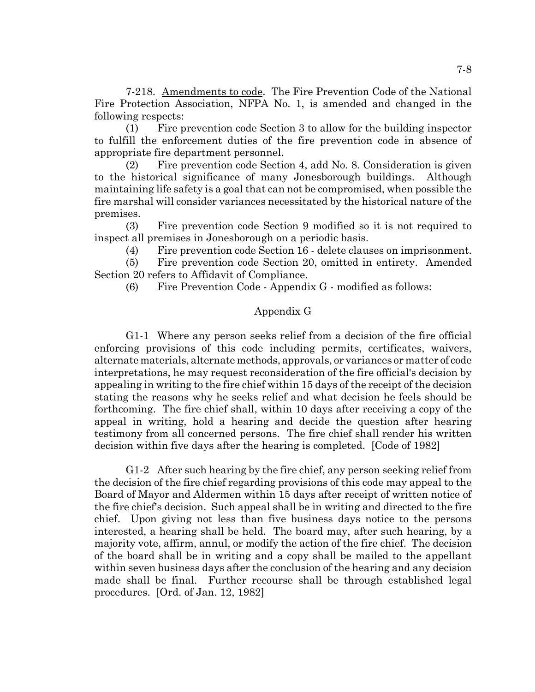7-218. Amendments to code. The Fire Prevention Code of the National Fire Protection Association, NFPA No. 1, is amended and changed in the following respects:

(1) Fire prevention code Section 3 to allow for the building inspector to fulfill the enforcement duties of the fire prevention code in absence of appropriate fire department personnel.

(2) Fire prevention code Section 4, add No. 8. Consideration is given to the historical significance of many Jonesborough buildings. Although maintaining life safety is a goal that can not be compromised, when possible the fire marshal will consider variances necessitated by the historical nature of the premises.

(3) Fire prevention code Section 9 modified so it is not required to inspect all premises in Jonesborough on a periodic basis.

(4) Fire prevention code Section 16 - delete clauses on imprisonment.

(5) Fire prevention code Section 20, omitted in entirety. Amended Section 20 refers to Affidavit of Compliance.

(6) Fire Prevention Code - Appendix G - modified as follows:

# Appendix G

G1-1 Where any person seeks relief from a decision of the fire official enforcing provisions of this code including permits, certificates, waivers, alternate materials, alternate methods, approvals, or variances or matter of code interpretations, he may request reconsideration of the fire official's decision by appealing in writing to the fire chief within 15 days of the receipt of the decision stating the reasons why he seeks relief and what decision he feels should be forthcoming. The fire chief shall, within 10 days after receiving a copy of the appeal in writing, hold a hearing and decide the question after hearing testimony from all concerned persons. The fire chief shall render his written decision within five days after the hearing is completed. [Code of 1982]

G1-2 After such hearing by the fire chief, any person seeking relief from the decision of the fire chief regarding provisions of this code may appeal to the Board of Mayor and Aldermen within 15 days after receipt of written notice of the fire chief's decision. Such appeal shall be in writing and directed to the fire chief. Upon giving not less than five business days notice to the persons interested, a hearing shall be held. The board may, after such hearing, by a majority vote, affirm, annul, or modify the action of the fire chief. The decision of the board shall be in writing and a copy shall be mailed to the appellant within seven business days after the conclusion of the hearing and any decision made shall be final. Further recourse shall be through established legal procedures. [Ord. of Jan. 12, 1982]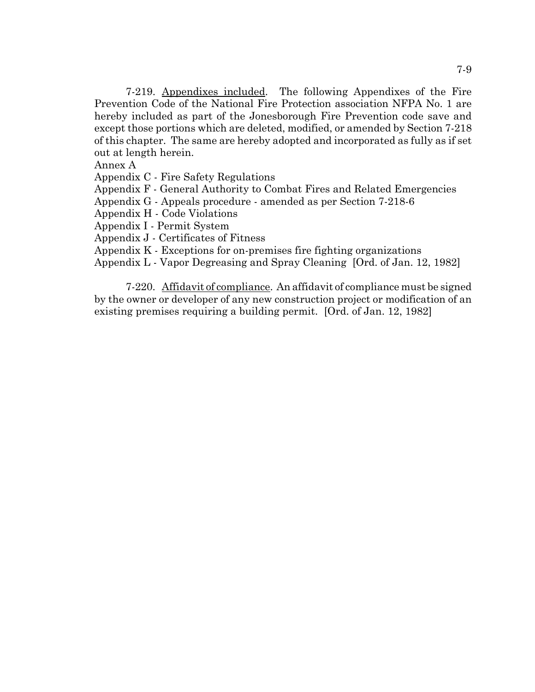7-219. Appendixes included. The following Appendixes of the Fire Prevention Code of the National Fire Protection association NFPA No. 1 are hereby included as part of the Jonesborough Fire Prevention code save and except those portions which are deleted, modified, or amended by Section 7-218 of this chapter. The same are hereby adopted and incorporated as fully as if set out at length herein.

Annex A

Appendix C - Fire Safety Regulations

Appendix F - General Authority to Combat Fires and Related Emergencies

Appendix G - Appeals procedure - amended as per Section 7-218-6

Appendix H - Code Violations

Appendix I - Permit System

Appendix J - Certificates of Fitness

Appendix K - Exceptions for on-premises fire fighting organizations

Appendix L - Vapor Degreasing and Spray Cleaning [Ord. of Jan. 12, 1982]

7-220. Affidavit of compliance. An affidavit of compliance must be signed by the owner or developer of any new construction project or modification of an existing premises requiring a building permit. [Ord. of Jan. 12, 1982]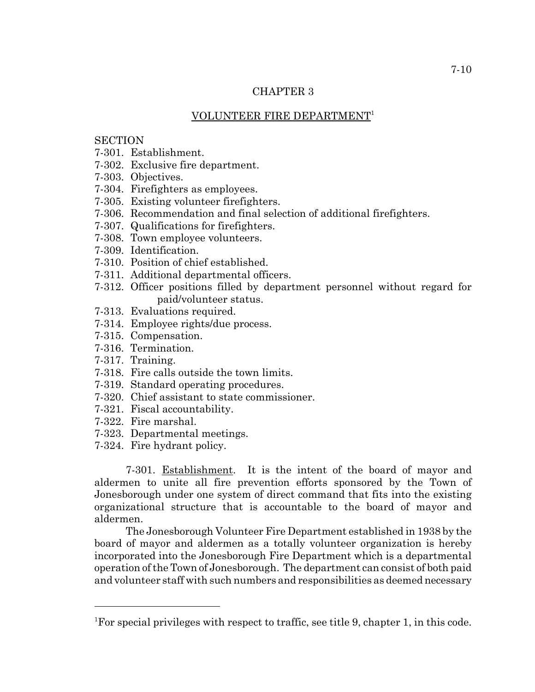# CHAPTER 3

## VOLUNTEER FIRE DEPARTMENT1

## **SECTION**

- 7-301. Establishment.
- 7-302. Exclusive fire department.
- 7-303. Objectives.
- 7-304. Firefighters as employees.
- 7-305. Existing volunteer firefighters.
- 7-306. Recommendation and final selection of additional firefighters.
- 7-307. Qualifications for firefighters.
- 7-308. Town employee volunteers.
- 7-309. Identification.
- 7-310. Position of chief established.
- 7-311. Additional departmental officers.
- 7-312. Officer positions filled by department personnel without regard for paid/volunteer status.
- 7-313. Evaluations required.
- 7-314. Employee rights/due process.
- 7-315. Compensation.
- 7-316. Termination.
- 7-317. Training.
- 7-318. Fire calls outside the town limits.
- 7-319. Standard operating procedures.
- 7-320. Chief assistant to state commissioner.
- 7-321. Fiscal accountability.
- 7-322. Fire marshal.
- 7-323. Departmental meetings.
- 7-324. Fire hydrant policy.

7-301. Establishment. It is the intent of the board of mayor and aldermen to unite all fire prevention efforts sponsored by the Town of Jonesborough under one system of direct command that fits into the existing organizational structure that is accountable to the board of mayor and aldermen.

The Jonesborough Volunteer Fire Department established in 1938 by the board of mayor and aldermen as a totally volunteer organization is hereby incorporated into the Jonesborough Fire Department which is a departmental operation of the Town of Jonesborough. The department can consist of both paid and volunteer staff with such numbers and responsibilities as deemed necessary

<sup>&</sup>lt;sup>1</sup>For special privileges with respect to traffic, see title 9, chapter 1, in this code.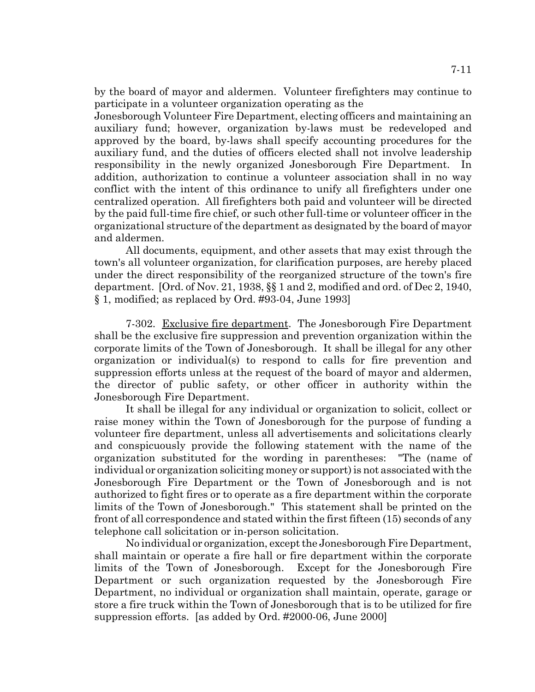by the board of mayor and aldermen. Volunteer firefighters may continue to participate in a volunteer organization operating as the

Jonesborough Volunteer Fire Department, electing officers and maintaining an auxiliary fund; however, organization by-laws must be redeveloped and approved by the board, by-laws shall specify accounting procedures for the auxiliary fund, and the duties of officers elected shall not involve leadership responsibility in the newly organized Jonesborough Fire Department. In addition, authorization to continue a volunteer association shall in no way conflict with the intent of this ordinance to unify all firefighters under one centralized operation. All firefighters both paid and volunteer will be directed by the paid full-time fire chief, or such other full-time or volunteer officer in the organizational structure of the department as designated by the board of mayor and aldermen.

All documents, equipment, and other assets that may exist through the town's all volunteer organization, for clarification purposes, are hereby placed under the direct responsibility of the reorganized structure of the town's fire department. [Ord. of Nov. 21, 1938, §§ 1 and 2, modified and ord. of Dec 2, 1940, § 1, modified; as replaced by Ord. #93-04, June 1993]

7-302. Exclusive fire department. The Jonesborough Fire Department shall be the exclusive fire suppression and prevention organization within the corporate limits of the Town of Jonesborough. It shall be illegal for any other organization or individual(s) to respond to calls for fire prevention and suppression efforts unless at the request of the board of mayor and aldermen, the director of public safety, or other officer in authority within the Jonesborough Fire Department.

It shall be illegal for any individual or organization to solicit, collect or raise money within the Town of Jonesborough for the purpose of funding a volunteer fire department, unless all advertisements and solicitations clearly and conspicuously provide the following statement with the name of the organization substituted for the wording in parentheses: "The (name of individual or organization soliciting money or support) is not associated with the Jonesborough Fire Department or the Town of Jonesborough and is not authorized to fight fires or to operate as a fire department within the corporate limits of the Town of Jonesborough." This statement shall be printed on the front of all correspondence and stated within the first fifteen (15) seconds of any telephone call solicitation or in-person solicitation.

No individual or organization, except the Jonesborough Fire Department, shall maintain or operate a fire hall or fire department within the corporate limits of the Town of Jonesborough. Except for the Jonesborough Fire Department or such organization requested by the Jonesborough Fire Department, no individual or organization shall maintain, operate, garage or store a fire truck within the Town of Jonesborough that is to be utilized for fire suppression efforts. [as added by Ord. #2000-06, June 2000]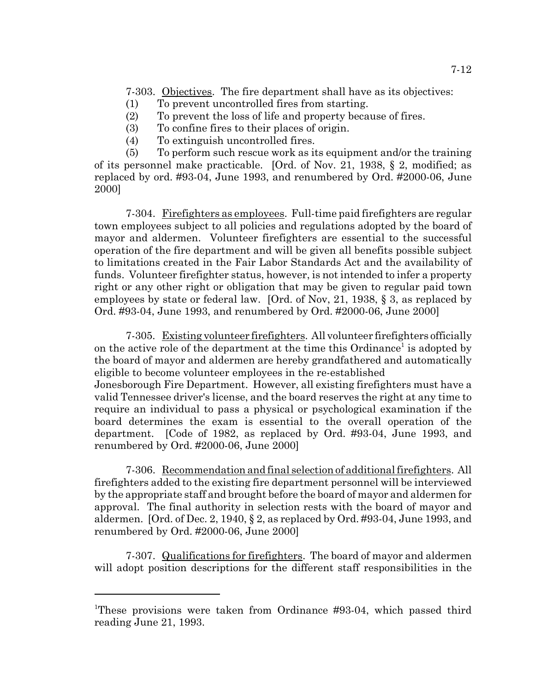7-303. Objectives. The fire department shall have as its objectives:

- (1) To prevent uncontrolled fires from starting.
- (2) To prevent the loss of life and property because of fires.
- (3) To confine fires to their places of origin.
- (4) To extinguish uncontrolled fires.

(5) To perform such rescue work as its equipment and/or the training of its personnel make practicable. [Ord. of Nov. 21, 1938, § 2, modified; as replaced by ord. #93-04, June 1993, and renumbered by Ord. #2000-06, June 2000]

7-304. Firefighters as employees. Full-time paid firefighters are regular town employees subject to all policies and regulations adopted by the board of mayor and aldermen. Volunteer firefighters are essential to the successful operation of the fire department and will be given all benefits possible subject to limitations created in the Fair Labor Standards Act and the availability of funds. Volunteer firefighter status, however, is not intended to infer a property right or any other right or obligation that may be given to regular paid town employees by state or federal law. [Ord. of Nov, 21, 1938, § 3, as replaced by Ord. #93-04, June 1993, and renumbered by Ord. #2000-06, June 2000]

7-305. Existing volunteer firefighters. All volunteer firefighters officially on the active role of the department at the time this Ordinance<sup>1</sup> is adopted by the board of mayor and aldermen are hereby grandfathered and automatically eligible to become volunteer employees in the re-established Jonesborough Fire Department. However, all existing firefighters must have a valid Tennessee driver's license, and the board reserves the right at any time to require an individual to pass a physical or psychological examination if the board determines the exam is essential to the overall operation of the department. [Code of 1982, as replaced by Ord. #93-04, June 1993, and renumbered by Ord. #2000-06, June 2000]

7-306. Recommendation and final selection of additional firefighters. All firefighters added to the existing fire department personnel will be interviewed by the appropriate staff and brought before the board of mayor and aldermen for approval. The final authority in selection rests with the board of mayor and aldermen. [Ord. of Dec. 2, 1940, § 2, as replaced by Ord. #93-04, June 1993, and renumbered by Ord. #2000-06, June 2000]

7-307. Qualifications for firefighters. The board of mayor and aldermen will adopt position descriptions for the different staff responsibilities in the

<sup>&</sup>lt;sup>1</sup>These provisions were taken from Ordinance #93-04, which passed third reading June 21, 1993.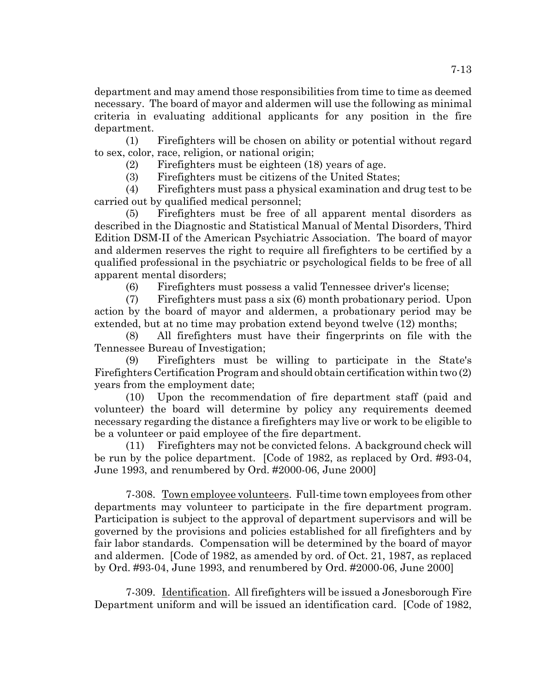department and may amend those responsibilities from time to time as deemed necessary. The board of mayor and aldermen will use the following as minimal criteria in evaluating additional applicants for any position in the fire department.

(1) Firefighters will be chosen on ability or potential without regard to sex, color, race, religion, or national origin;

(2) Firefighters must be eighteen (18) years of age.

(3) Firefighters must be citizens of the United States;

(4) Firefighters must pass a physical examination and drug test to be carried out by qualified medical personnel;

(5) Firefighters must be free of all apparent mental disorders as described in the Diagnostic and Statistical Manual of Mental Disorders, Third Edition DSM-II of the American Psychiatric Association. The board of mayor and aldermen reserves the right to require all firefighters to be certified by a qualified professional in the psychiatric or psychological fields to be free of all apparent mental disorders;

(6) Firefighters must possess a valid Tennessee driver's license;

(7) Firefighters must pass a six (6) month probationary period. Upon action by the board of mayor and aldermen, a probationary period may be extended, but at no time may probation extend beyond twelve (12) months;

(8) All firefighters must have their fingerprints on file with the Tennessee Bureau of Investigation;

(9) Firefighters must be willing to participate in the State's Firefighters Certification Program and should obtain certification within two (2) years from the employment date;

(10) Upon the recommendation of fire department staff (paid and volunteer) the board will determine by policy any requirements deemed necessary regarding the distance a firefighters may live or work to be eligible to be a volunteer or paid employee of the fire department.

(11) Firefighters may not be convicted felons. A background check will be run by the police department. [Code of 1982, as replaced by Ord. #93-04, June 1993, and renumbered by Ord. #2000-06, June 2000]

7-308. Town employee volunteers. Full-time town employees from other departments may volunteer to participate in the fire department program. Participation is subject to the approval of department supervisors and will be governed by the provisions and policies established for all firefighters and by fair labor standards. Compensation will be determined by the board of mayor and aldermen. [Code of 1982, as amended by ord. of Oct. 21, 1987, as replaced by Ord. #93-04, June 1993, and renumbered by Ord. #2000-06, June 2000]

7-309. Identification. All firefighters will be issued a Jonesborough Fire Department uniform and will be issued an identification card. [Code of 1982,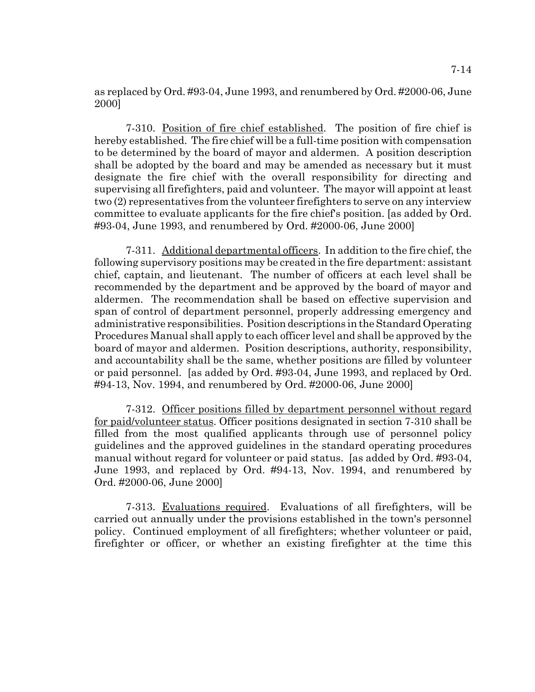as replaced by Ord. #93-04, June 1993, and renumbered by Ord. #2000-06, June 2000]

7-310. Position of fire chief established. The position of fire chief is hereby established. The fire chief will be a full-time position with compensation to be determined by the board of mayor and aldermen. A position description shall be adopted by the board and may be amended as necessary but it must designate the fire chief with the overall responsibility for directing and supervising all firefighters, paid and volunteer. The mayor will appoint at least two (2) representatives from the volunteer firefighters to serve on any interview committee to evaluate applicants for the fire chief's position. [as added by Ord. #93-04, June 1993, and renumbered by Ord. #2000-06, June 2000]

7-311. Additional departmental officers. In addition to the fire chief, the following supervisory positions may be created in the fire department: assistant chief, captain, and lieutenant. The number of officers at each level shall be recommended by the department and be approved by the board of mayor and aldermen. The recommendation shall be based on effective supervision and span of control of department personnel, properly addressing emergency and administrative responsibilities. Position descriptions in the Standard Operating Procedures Manual shall apply to each officer level and shall be approved by the board of mayor and aldermen. Position descriptions, authority, responsibility, and accountability shall be the same, whether positions are filled by volunteer or paid personnel. [as added by Ord. #93-04, June 1993, and replaced by Ord. #94-13, Nov. 1994, and renumbered by Ord. #2000-06, June 2000]

7-312. Officer positions filled by department personnel without regard for paid/volunteer status. Officer positions designated in section 7-310 shall be filled from the most qualified applicants through use of personnel policy guidelines and the approved guidelines in the standard operating procedures manual without regard for volunteer or paid status. [as added by Ord. #93-04, June 1993, and replaced by Ord. #94-13, Nov. 1994, and renumbered by Ord. #2000-06, June 2000]

7-313. Evaluations required. Evaluations of all firefighters, will be carried out annually under the provisions established in the town's personnel policy. Continued employment of all firefighters; whether volunteer or paid, firefighter or officer, or whether an existing firefighter at the time this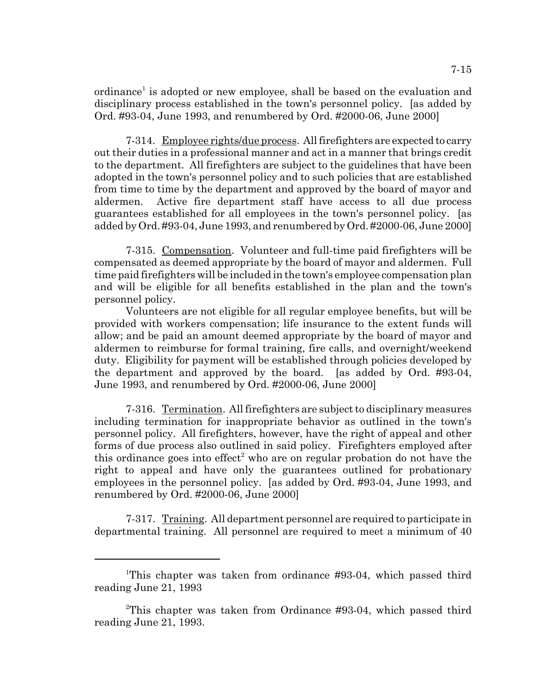ordinance<sup>1</sup> is adopted or new employee, shall be based on the evaluation and disciplinary process established in the town's personnel policy. [as added by Ord. #93-04, June 1993, and renumbered by Ord. #2000-06, June 2000]

7-314. Employee rights/due process. All firefighters are expected to carry out their duties in a professional manner and act in a manner that brings credit to the department. All firefighters are subject to the guidelines that have been adopted in the town's personnel policy and to such policies that are established from time to time by the department and approved by the board of mayor and aldermen. Active fire department staff have access to all due process guarantees established for all employees in the town's personnel policy. [as added by Ord. #93-04, June 1993, and renumbered by Ord. #2000-06, June 2000]

7-315. Compensation. Volunteer and full-time paid firefighters will be compensated as deemed appropriate by the board of mayor and aldermen. Full time paid firefighters will be included in the town's employee compensation plan and will be eligible for all benefits established in the plan and the town's personnel policy.

Volunteers are not eligible for all regular employee benefits, but will be provided with workers compensation; life insurance to the extent funds will allow; and be paid an amount deemed appropriate by the board of mayor and aldermen to reimburse for formal training, fire calls, and overnight/weekend duty. Eligibility for payment will be established through policies developed by the department and approved by the board. [as added by Ord. #93-04, June 1993, and renumbered by Ord. #2000-06, June 2000]

7-316. Termination. All firefighters are subject to disciplinary measures including termination for inappropriate behavior as outlined in the town's personnel policy. All firefighters, however, have the right of appeal and other forms of due process also outlined in said policy. Firefighters employed after this ordinance goes into effect<sup>2</sup> who are on regular probation do not have the right to appeal and have only the guarantees outlined for probationary employees in the personnel policy. [as added by Ord. #93-04, June 1993, and renumbered by Ord. #2000-06, June 2000]

7-317. Training. All department personnel are required to participate in departmental training. All personnel are required to meet a minimum of 40

<sup>&</sup>lt;sup>1</sup>This chapter was taken from ordinance #93-04, which passed third reading June 21, 1993

<sup>2</sup> This chapter was taken from Ordinance #93-04, which passed third reading June 21, 1993.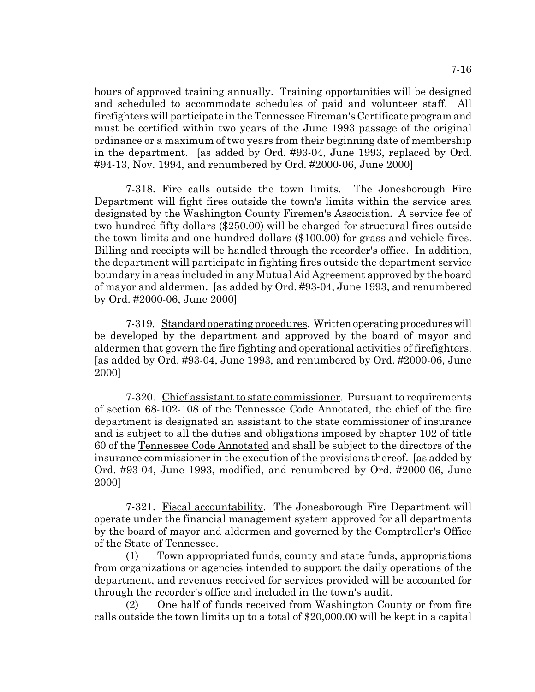hours of approved training annually. Training opportunities will be designed and scheduled to accommodate schedules of paid and volunteer staff. All firefighters will participate in the Tennessee Fireman's Certificate program and must be certified within two years of the June 1993 passage of the original ordinance or a maximum of two years from their beginning date of membership in the department. [as added by Ord. #93-04, June 1993, replaced by Ord. #94-13, Nov. 1994, and renumbered by Ord. #2000-06, June 2000]

7-318. Fire calls outside the town limits. The Jonesborough Fire Department will fight fires outside the town's limits within the service area designated by the Washington County Firemen's Association. A service fee of two-hundred fifty dollars (\$250.00) will be charged for structural fires outside the town limits and one-hundred dollars (\$100.00) for grass and vehicle fires. Billing and receipts will be handled through the recorder's office. In addition, the department will participate in fighting fires outside the department service boundary in areas included in any Mutual Aid Agreement approved by the board of mayor and aldermen. [as added by Ord. #93-04, June 1993, and renumbered by Ord. #2000-06, June 2000]

7-319. Standard operating procedures. Written operating procedures will be developed by the department and approved by the board of mayor and aldermen that govern the fire fighting and operational activities of firefighters. [as added by Ord. #93-04, June 1993, and renumbered by Ord. #2000-06, June 2000]

7-320. Chief assistant to state commissioner. Pursuant to requirements of section 68-102-108 of the Tennessee Code Annotated, the chief of the fire department is designated an assistant to the state commissioner of insurance and is subject to all the duties and obligations imposed by chapter 102 of title 60 of the Tennessee Code Annotated and shall be subject to the directors of the insurance commissioner in the execution of the provisions thereof. [as added by Ord. #93-04, June 1993, modified, and renumbered by Ord. #2000-06, June 2000]

7-321. Fiscal accountability. The Jonesborough Fire Department will operate under the financial management system approved for all departments by the board of mayor and aldermen and governed by the Comptroller's Office of the State of Tennessee.

(1) Town appropriated funds, county and state funds, appropriations from organizations or agencies intended to support the daily operations of the department, and revenues received for services provided will be accounted for through the recorder's office and included in the town's audit.

(2) One half of funds received from Washington County or from fire calls outside the town limits up to a total of \$20,000.00 will be kept in a capital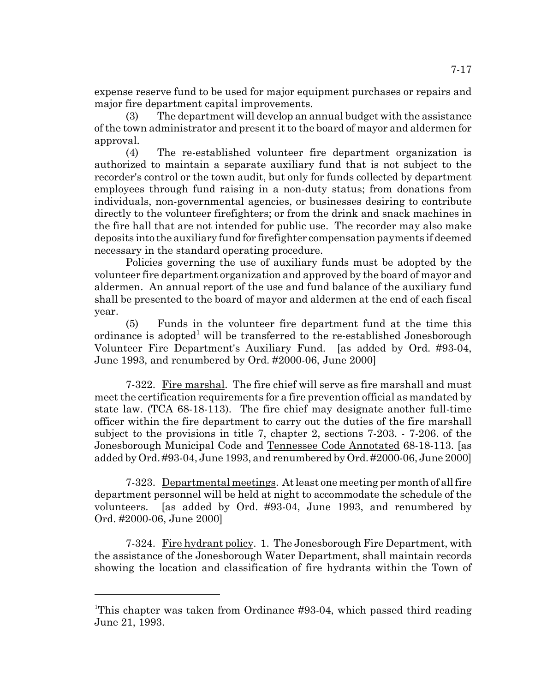expense reserve fund to be used for major equipment purchases or repairs and major fire department capital improvements.

(3) The department will develop an annual budget with the assistance of the town administrator and present it to the board of mayor and aldermen for approval.

(4) The re-established volunteer fire department organization is authorized to maintain a separate auxiliary fund that is not subject to the recorder's control or the town audit, but only for funds collected by department employees through fund raising in a non-duty status; from donations from individuals, non-governmental agencies, or businesses desiring to contribute directly to the volunteer firefighters; or from the drink and snack machines in the fire hall that are not intended for public use. The recorder may also make deposits into the auxiliary fund for firefighter compensation payments if deemed necessary in the standard operating procedure.

Policies governing the use of auxiliary funds must be adopted by the volunteer fire department organization and approved by the board of mayor and aldermen. An annual report of the use and fund balance of the auxiliary fund shall be presented to the board of mayor and aldermen at the end of each fiscal year.

(5) Funds in the volunteer fire department fund at the time this ordinance is adopted<sup>1</sup> will be transferred to the re-established Jonesborough Volunteer Fire Department's Auxiliary Fund. [as added by Ord. #93-04, June 1993, and renumbered by Ord. #2000-06, June 2000]

7-322. Fire marshal. The fire chief will serve as fire marshall and must meet the certification requirements for a fire prevention official as mandated by state law. (TCA 68-18-113). The fire chief may designate another full-time officer within the fire department to carry out the duties of the fire marshall subject to the provisions in title 7, chapter 2, sections 7-203. - 7-206. of the Jonesborough Municipal Code and Tennessee Code Annotated 68-18-113. [as added by Ord. #93-04, June 1993, and renumbered by Ord. #2000-06, June 2000]

7-323. Departmental meetings. At least one meeting per month of all fire department personnel will be held at night to accommodate the schedule of the volunteers. [as added by Ord. #93-04, June 1993, and renumbered by Ord. #2000-06, June 2000]

7-324. Fire hydrant policy. 1. The Jonesborough Fire Department, with the assistance of the Jonesborough Water Department, shall maintain records showing the location and classification of fire hydrants within the Town of

<sup>&</sup>lt;sup>1</sup>This chapter was taken from Ordinance #93-04, which passed third reading June 21, 1993.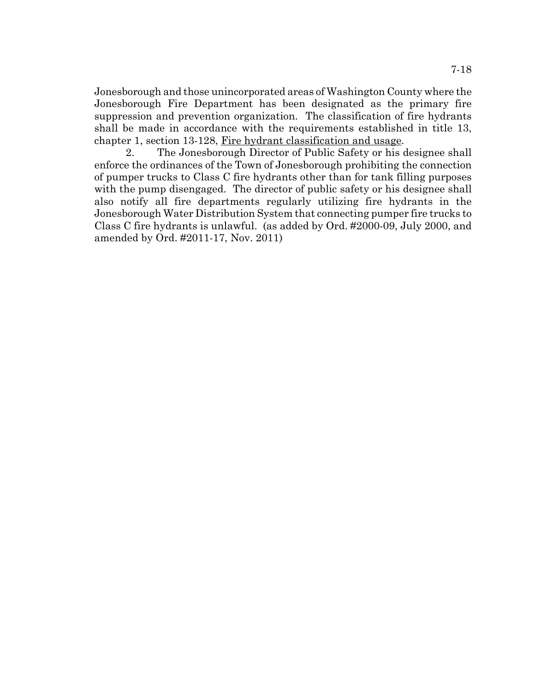Jonesborough and those unincorporated areas of Washington County where the Jonesborough Fire Department has been designated as the primary fire suppression and prevention organization. The classification of fire hydrants shall be made in accordance with the requirements established in title 13, chapter 1, section 13-128, Fire hydrant classification and usage.

2. The Jonesborough Director of Public Safety or his designee shall enforce the ordinances of the Town of Jonesborough prohibiting the connection of pumper trucks to Class C fire hydrants other than for tank filling purposes with the pump disengaged. The director of public safety or his designee shall also notify all fire departments regularly utilizing fire hydrants in the Jonesborough Water Distribution System that connecting pumper fire trucks to Class C fire hydrants is unlawful. (as added by Ord. #2000-09, July 2000, and amended by Ord. #2011-17, Nov. 2011)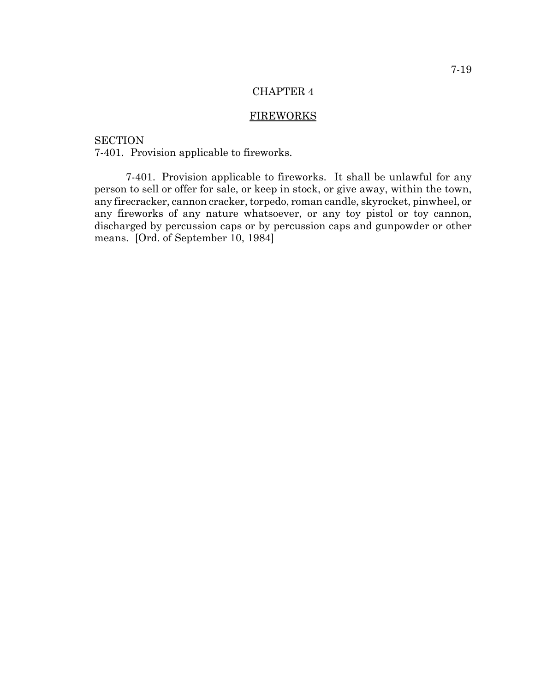### CHAPTER 4

### FIREWORKS

**SECTION** 7-401. Provision applicable to fireworks.

7-401. Provision applicable to fireworks. It shall be unlawful for any person to sell or offer for sale, or keep in stock, or give away, within the town, any firecracker, cannon cracker, torpedo, roman candle, skyrocket, pinwheel, or any fireworks of any nature whatsoever, or any toy pistol or toy cannon, discharged by percussion caps or by percussion caps and gunpowder or other means. [Ord. of September 10, 1984]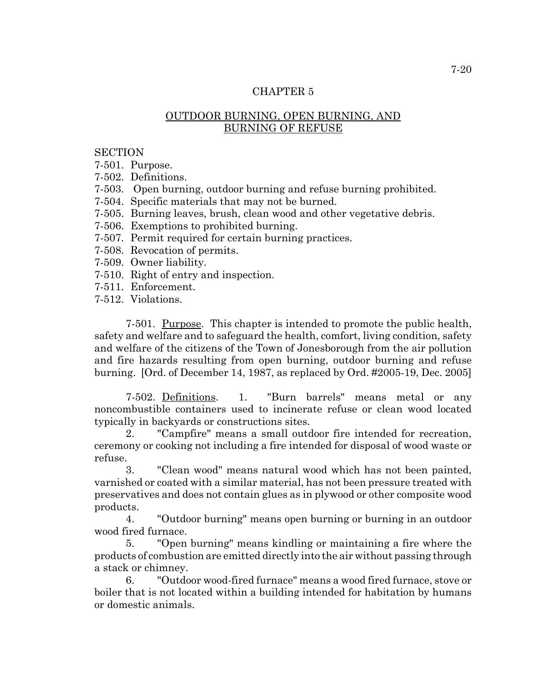# CHAPTER 5

# OUTDOOR BURNING, OPEN BURNING, AND BURNING OF REFUSE

## **SECTION**

7-501. Purpose.

- 7-502. Definitions.
- 7-503. Open burning, outdoor burning and refuse burning prohibited.
- 7-504. Specific materials that may not be burned.
- 7-505. Burning leaves, brush, clean wood and other vegetative debris.
- 7-506. Exemptions to prohibited burning.
- 7-507. Permit required for certain burning practices.
- 7-508. Revocation of permits.
- 7-509. Owner liability.
- 7-510. Right of entry and inspection.
- 7-511. Enforcement.
- 7-512. Violations.

7-501. Purpose. This chapter is intended to promote the public health, safety and welfare and to safeguard the health, comfort, living condition, safety and welfare of the citizens of the Town of Jonesborough from the air pollution and fire hazards resulting from open burning, outdoor burning and refuse burning. [Ord. of December 14, 1987, as replaced by Ord. #2005-19, Dec. 2005]

7-502. Definitions. 1. "Burn barrels" means metal or any noncombustible containers used to incinerate refuse or clean wood located typically in backyards or constructions sites.

2. "Campfire" means a small outdoor fire intended for recreation, ceremony or cooking not including a fire intended for disposal of wood waste or refuse.

3. "Clean wood" means natural wood which has not been painted, varnished or coated with a similar material, has not been pressure treated with preservatives and does not contain glues as in plywood or other composite wood products.

4. "Outdoor burning" means open burning or burning in an outdoor wood fired furnace.

5. "Open burning" means kindling or maintaining a fire where the products of combustion are emitted directly into the air without passing through a stack or chimney.

6. "Outdoor wood-fired furnace" means a wood fired furnace, stove or boiler that is not located within a building intended for habitation by humans or domestic animals.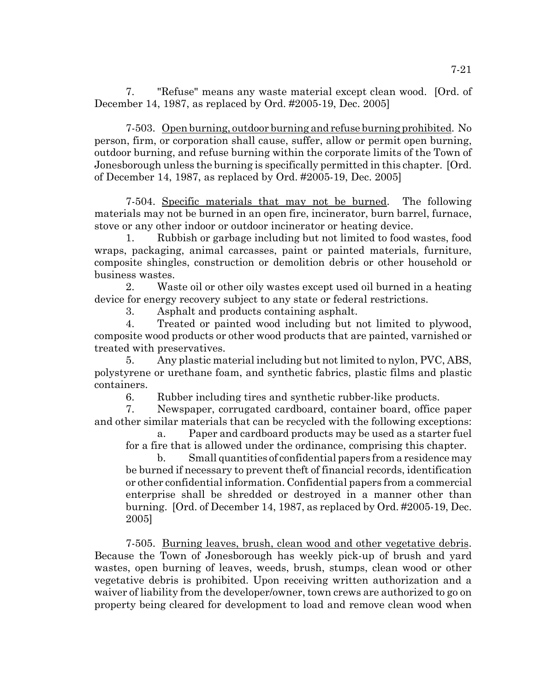7. "Refuse" means any waste material except clean wood. [Ord. of December 14, 1987, as replaced by Ord. #2005-19, Dec. 2005]

7-503. Open burning, outdoor burning and refuse burning prohibited. No person, firm, or corporation shall cause, suffer, allow or permit open burning, outdoor burning, and refuse burning within the corporate limits of the Town of Jonesborough unless the burning is specifically permitted in this chapter. [Ord. of December 14, 1987, as replaced by Ord. #2005-19, Dec. 2005]

7-504. Specific materials that may not be burned. The following materials may not be burned in an open fire, incinerator, burn barrel, furnace, stove or any other indoor or outdoor incinerator or heating device.

1. Rubbish or garbage including but not limited to food wastes, food wraps, packaging, animal carcasses, paint or painted materials, furniture, composite shingles, construction or demolition debris or other household or business wastes.

2. Waste oil or other oily wastes except used oil burned in a heating device for energy recovery subject to any state or federal restrictions.

3. Asphalt and products containing asphalt.

4. Treated or painted wood including but not limited to plywood, composite wood products or other wood products that are painted, varnished or treated with preservatives.

5. Any plastic material including but not limited to nylon, PVC, ABS, polystyrene or urethane foam, and synthetic fabrics, plastic films and plastic containers.

6. Rubber including tires and synthetic rubber-like products.

7. Newspaper, corrugated cardboard, container board, office paper and other similar materials that can be recycled with the following exceptions:

a. Paper and cardboard products may be used as a starter fuel for a fire that is allowed under the ordinance, comprising this chapter.

b. Small quantities of confidential papers from a residence may be burned if necessary to prevent theft of financial records, identification or other confidential information. Confidential papers from a commercial enterprise shall be shredded or destroyed in a manner other than burning. [Ord. of December 14, 1987, as replaced by Ord. #2005-19, Dec. 2005]

7-505. Burning leaves, brush, clean wood and other vegetative debris. Because the Town of Jonesborough has weekly pick-up of brush and yard wastes, open burning of leaves, weeds, brush, stumps, clean wood or other vegetative debris is prohibited. Upon receiving written authorization and a waiver of liability from the developer/owner, town crews are authorized to go on property being cleared for development to load and remove clean wood when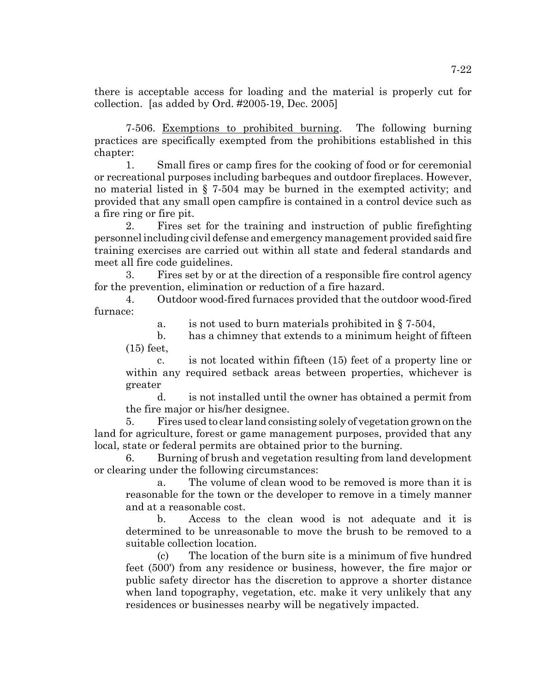there is acceptable access for loading and the material is properly cut for collection. [as added by Ord. #2005-19, Dec. 2005]

7-506. Exemptions to prohibited burning. The following burning practices are specifically exempted from the prohibitions established in this chapter:

1. Small fires or camp fires for the cooking of food or for ceremonial or recreational purposes including barbeques and outdoor fireplaces. However, no material listed in § 7-504 may be burned in the exempted activity; and provided that any small open campfire is contained in a control device such as a fire ring or fire pit.

2. Fires set for the training and instruction of public firefighting personnel including civil defense and emergency management provided said fire training exercises are carried out within all state and federal standards and meet all fire code guidelines.

3. Fires set by or at the direction of a responsible fire control agency for the prevention, elimination or reduction of a fire hazard.

4. Outdoor wood-fired furnaces provided that the outdoor wood-fired furnace:

a. is not used to burn materials prohibited in § 7-504,

b. has a chimney that extends to a minimum height of fifteen (15) feet,

c. is not located within fifteen (15) feet of a property line or within any required setback areas between properties, whichever is greater

d. is not installed until the owner has obtained a permit from the fire major or his/her designee.

5. Fires used to clear land consisting solely of vegetation grown on the land for agriculture, forest or game management purposes, provided that any local, state or federal permits are obtained prior to the burning.

6. Burning of brush and vegetation resulting from land development or clearing under the following circumstances:

a. The volume of clean wood to be removed is more than it is reasonable for the town or the developer to remove in a timely manner and at a reasonable cost.

b. Access to the clean wood is not adequate and it is determined to be unreasonable to move the brush to be removed to a suitable collection location.

(c) The location of the burn site is a minimum of five hundred feet (500') from any residence or business, however, the fire major or public safety director has the discretion to approve a shorter distance when land topography, vegetation, etc. make it very unlikely that any residences or businesses nearby will be negatively impacted.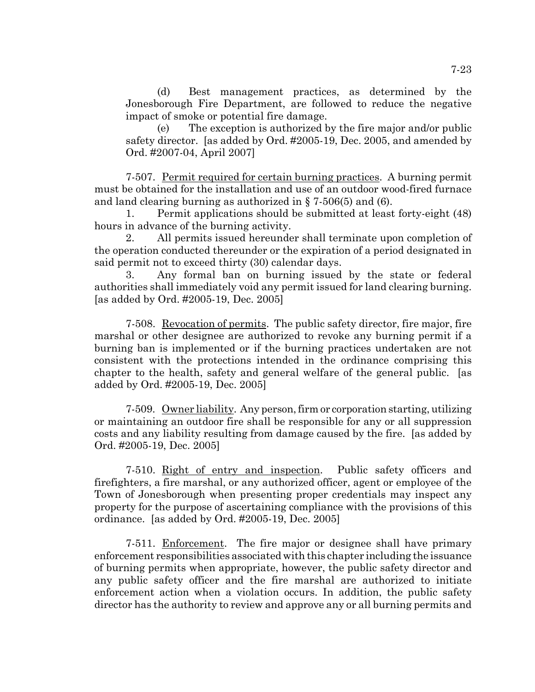(d) Best management practices, as determined by the Jonesborough Fire Department, are followed to reduce the negative impact of smoke or potential fire damage.

(e) The exception is authorized by the fire major and/or public safety director. [as added by Ord. #2005-19, Dec. 2005, and amended by Ord. #2007-04, April 2007]

7-507. Permit required for certain burning practices. A burning permit must be obtained for the installation and use of an outdoor wood-fired furnace and land clearing burning as authorized in § 7-506(5) and (6).

1. Permit applications should be submitted at least forty-eight (48) hours in advance of the burning activity.

2. All permits issued hereunder shall terminate upon completion of the operation conducted thereunder or the expiration of a period designated in said permit not to exceed thirty (30) calendar days.

3. Any formal ban on burning issued by the state or federal authorities shall immediately void any permit issued for land clearing burning. [as added by Ord. #2005-19, Dec. 2005]

7-508. Revocation of permits. The public safety director, fire major, fire marshal or other designee are authorized to revoke any burning permit if a burning ban is implemented or if the burning practices undertaken are not consistent with the protections intended in the ordinance comprising this chapter to the health, safety and general welfare of the general public. [as added by Ord. #2005-19, Dec. 2005]

7-509. Owner liability. Any person, firm or corporation starting, utilizing or maintaining an outdoor fire shall be responsible for any or all suppression costs and any liability resulting from damage caused by the fire. [as added by Ord. #2005-19, Dec. 2005]

7-510. Right of entry and inspection. Public safety officers and firefighters, a fire marshal, or any authorized officer, agent or employee of the Town of Jonesborough when presenting proper credentials may inspect any property for the purpose of ascertaining compliance with the provisions of this ordinance. [as added by Ord. #2005-19, Dec. 2005]

7-511. Enforcement. The fire major or designee shall have primary enforcement responsibilities associated with this chapter including the issuance of burning permits when appropriate, however, the public safety director and any public safety officer and the fire marshal are authorized to initiate enforcement action when a violation occurs. In addition, the public safety director has the authority to review and approve any or all burning permits and